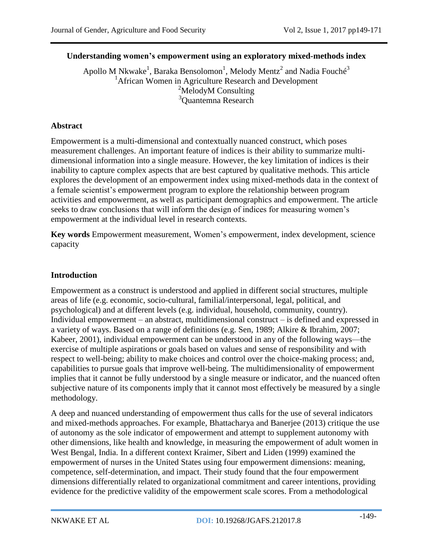### **Understanding women's empowerment using an exploratory mixed-methods index**

Apollo M Nkwake $^1$ , Baraka Bensolomon $^1$ , Melody Mentz $^2$  and Nadia Fouch $\epsilon^3$ <sup>1</sup>African Women in Agriculture Research and Development  $2$ MelodyM Consulting <sup>3</sup>Quantemna Research

### **Abstract**

Empowerment is a multi-dimensional and contextually nuanced construct, which poses measurement challenges. An important feature of indices is their ability to summarize multidimensional information into a single measure. However, the key limitation of indices is their inability to capture complex aspects that are best captured by qualitative methods. This article explores the development of an empowerment index using mixed-methods data in the context of a female scientist's empowerment program to explore the relationship between program activities and empowerment, as well as participant demographics and empowerment. The article seeks to draw conclusions that will inform the design of indices for measuring women's empowerment at the individual level in research contexts.

**Key words** Empowerment measurement, Women's empowerment, index development, science capacity

### **Introduction**

Empowerment as a construct is understood and applied in different social structures, multiple areas of life (e.g. economic, socio-cultural, familial/interpersonal, legal, political, and psychological) and at different levels (e.g. individual, household, community, country). Individual empowerment – an abstract, multidimensional construct – is defined and expressed in a variety of ways. Based on a range of definitions (e.g. Sen, 1989; Alkire & Ibrahim, 2007; Kabeer, 2001), individual empowerment can be understood in any of the following ways—the exercise of multiple aspirations or goals based on values and sense of responsibility and with respect to well-being; ability to make choices and control over the choice-making process; and, capabilities to pursue goals that improve well-being. The multidimensionality of empowerment implies that it cannot be fully understood by a single measure or indicator, and the nuanced often subjective nature of its components imply that it cannot most effectively be measured by a single methodology.

A deep and nuanced understanding of empowerment thus calls for the use of several indicators and mixed-methods approaches. For example, Bhattacharya and Banerjee (2013) critique the use of autonomy as the sole indicator of empowerment and attempt to supplement autonomy with other dimensions, like health and knowledge, in measuring the empowerment of adult women in West Bengal, India. In a different context Kraimer, Sibert and Liden (1999) examined the empowerment of nurses in the United States using four empowerment dimensions: meaning, competence, self-determination, and impact. Their study found that the four empowerment dimensions differentially related to organizational commitment and career intentions, providing evidence for the predictive validity of the empowerment scale scores. From a methodological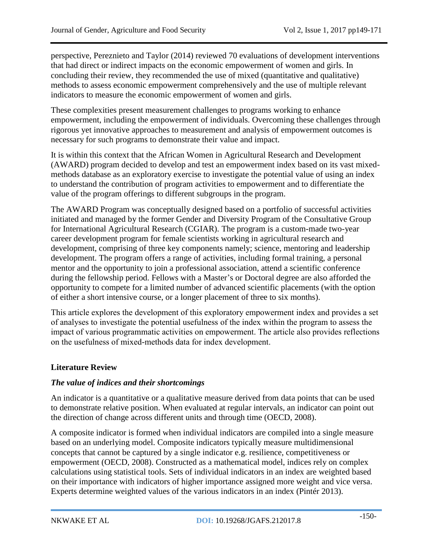perspective, Pereznieto and Taylor (2014) reviewed 70 evaluations of development interventions that had direct or indirect impacts on the economic empowerment of women and girls. In concluding their review, they recommended the use of mixed (quantitative and qualitative) methods to assess economic empowerment comprehensively and the use of multiple relevant indicators to measure the economic empowerment of women and girls.

These complexities present measurement challenges to programs working to enhance empowerment, including the empowerment of individuals. Overcoming these challenges through rigorous yet innovative approaches to measurement and analysis of empowerment outcomes is necessary for such programs to demonstrate their value and impact.

It is within this context that the African Women in Agricultural Research and Development (AWARD) program decided to develop and test an empowerment index based on its vast mixedmethods database as an exploratory exercise to investigate the potential value of using an index to understand the contribution of program activities to empowerment and to differentiate the value of the program offerings to different subgroups in the program.

The AWARD Program was conceptually designed based on a portfolio of successful activities initiated and managed by the former Gender and Diversity Program of the Consultative Group for International Agricultural Research (CGIAR). The program is a custom-made two-year career development program for female scientists working in agricultural research and development, comprising of three key components namely; science, mentoring and leadership development. The program offers a range of activities, including formal training, a personal mentor and the opportunity to join a professional association, attend a scientific conference during the fellowship period. Fellows with a Master's or Doctoral degree are also afforded the opportunity to compete for a limited number of advanced scientific placements (with the option of either a short intensive course, or a longer placement of three to six months).

This article explores the development of this exploratory empowerment index and provides a set of analyses to investigate the potential usefulness of the index within the program to assess the impact of various programmatic activities on empowerment. The article also provides reflections on the usefulness of mixed-methods data for index development.

### **Literature Review**

### *The value of indices and their shortcomings*

An indicator is a quantitative or a qualitative measure derived from data points that can be used to demonstrate relative position. When evaluated at regular intervals, an indicator can point out the direction of change across different units and through time (OECD, 2008).

A composite indicator is formed when individual indicators are compiled into a single measure based on an underlying model. Composite indicators typically measure multidimensional concepts that cannot be captured by a single indicator e.g. resilience, competitiveness or empowerment (OECD, 2008). Constructed as a mathematical model, indices rely on complex calculations using statistical tools. Sets of individual indicators in an index are weighted based on their importance with indicators of higher importance assigned more weight and vice versa. Experts determine weighted values of the various indicators in an index (Pintér 2013).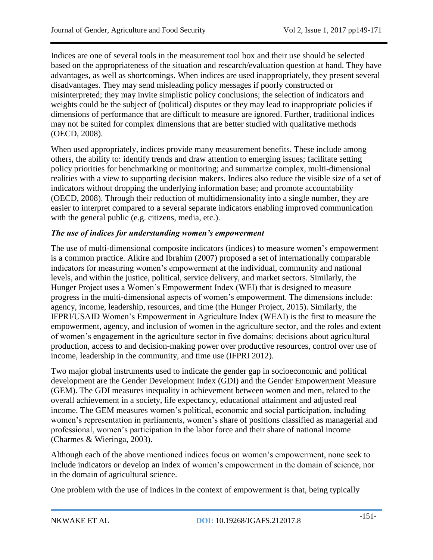Indices are one of several tools in the measurement tool box and their use should be selected based on the appropriateness of the situation and research/evaluation question at hand. They have advantages, as well as shortcomings. When indices are used inappropriately, they present several disadvantages. They may send misleading policy messages if poorly constructed or misinterpreted; they may invite simplistic policy conclusions; the selection of indicators and weights could be the subject of (political) disputes or they may lead to inappropriate policies if dimensions of performance that are difficult to measure are ignored. Further, traditional indices may not be suited for complex dimensions that are better studied with qualitative methods (OECD, 2008).

When used appropriately, indices provide many measurement benefits. These include among others, the ability to: identify trends and draw attention to emerging issues; facilitate setting policy priorities for benchmarking or monitoring; and summarize complex, multi-dimensional realities with a view to supporting decision makers. Indices also reduce the visible size of a set of indicators without dropping the underlying information base; and promote accountability (OECD, 2008). Through their reduction of multidimensionality into a single number, they are easier to interpret compared to a several separate indicators enabling improved communication with the general public (e.g. citizens, media, etc.).

## *The use of indices for understanding women's empowerment*

The use of multi-dimensional composite indicators (indices) to measure women's empowerment is a common practice. Alkire and Ibrahim (2007) proposed a set of internationally comparable indicators for measuring women's empowerment at the individual, community and national levels, and within the justice, political, service delivery, and market sectors. Similarly, the Hunger Project uses a Women's Empowerment Index (WEI) that is designed to measure progress in the multi-dimensional aspects of women's empowerment. The dimensions include: agency, income, leadership, resources, and time (the Hunger Project, 2015). Similarly, the IFPRI/USAID Women's Empowerment in Agriculture Index (WEAI) is the first to measure the empowerment, agency, and inclusion of women in the agriculture sector, and the roles and extent of women's engagement in the agriculture sector in five domains: decisions about agricultural production, access to and decision-making power over productive resources, control over use of income, leadership in the community, and time use (IFPRI 2012).

Two major global instruments used to indicate the gender gap in socioeconomic and political development are the Gender Development Index (GDI) and the Gender Empowerment Measure (GEM). The GDI measures inequality in achievement between women and men, related to the overall achievement in a society, life expectancy, educational attainment and adjusted real income. The GEM measures women's political, economic and social participation, including women's representation in parliaments, women's share of positions classified as managerial and professional, women's participation in the labor force and their share of national income (Charmes & Wieringa, 2003).

Although each of the above mentioned indices focus on women's empowerment, none seek to include indicators or develop an index of women's empowerment in the domain of science, nor in the domain of agricultural science.

One problem with the use of indices in the context of empowerment is that, being typically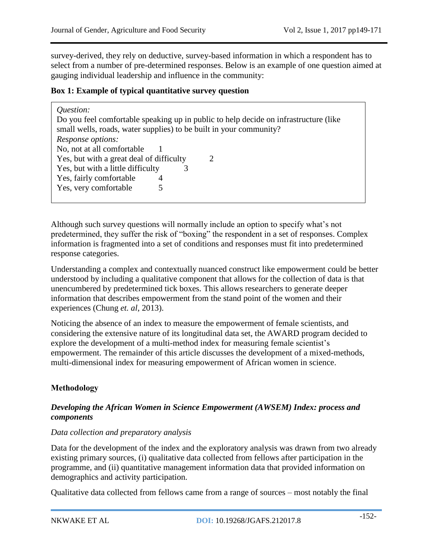survey-derived, they rely on deductive, survey-based information in which a respondent has to select from a number of pre-determined responses. Below is an example of one question aimed at gauging individual leadership and influence in the community:

### **Box 1: Example of typical quantitative survey question**

| Question:<br>Do you feel comfortable speaking up in public to help decide on infrastructure (like<br>small wells, roads, water supplies) to be built in your community? |
|-------------------------------------------------------------------------------------------------------------------------------------------------------------------------|
| <i>Response options:</i>                                                                                                                                                |
| No, not at all comfortable                                                                                                                                              |
| Yes, but with a great deal of difficulty<br>$\mathcal{D}_{\mathcal{L}}$                                                                                                 |
| Yes, but with a little difficulty                                                                                                                                       |
| Yes, fairly comfortable<br>4                                                                                                                                            |
| Yes, very comfortable<br>5                                                                                                                                              |
|                                                                                                                                                                         |

Although such survey questions will normally include an option to specify what's not predetermined, they suffer the risk of "boxing" the respondent in a set of responses. Complex information is fragmented into a set of conditions and responses must fit into predetermined response categories.

Understanding a complex and contextually nuanced construct like empowerment could be better understood by including a qualitative component that allows for the collection of data is that unencumbered by predetermined tick boxes. This allows researchers to generate deeper information that describes empowerment from the stand point of the women and their experiences (Chung *et. al*, 2013).

Noticing the absence of an index to measure the empowerment of female scientists, and considering the extensive nature of its longitudinal data set, the AWARD program decided to explore the development of a multi-method index for measuring female scientist's empowerment. The remainder of this article discusses the development of a mixed-methods, multi-dimensional index for measuring empowerment of African women in science.

# **Methodology**

#### *Developing the African Women in Science Empowerment (AWSEM) Index: process and components*

#### *Data collection and preparatory analysis*

Data for the development of the index and the exploratory analysis was drawn from two already existing primary sources, (i) qualitative data collected from fellows after participation in the programme, and (ii) quantitative management information data that provided information on demographics and activity participation.

Qualitative data collected from fellows came from a range of sources – most notably the final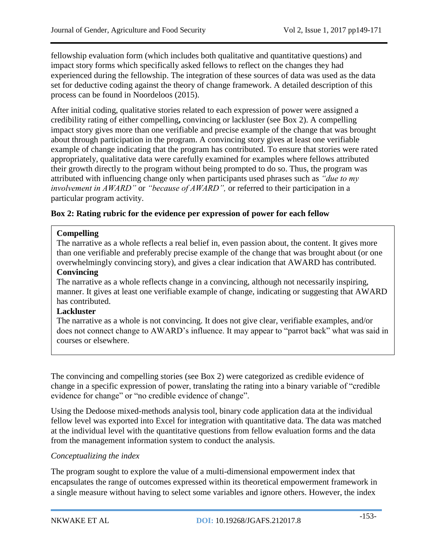fellowship evaluation form (which includes both qualitative and quantitative questions) and impact story forms which specifically asked fellows to reflect on the changes they had experienced during the fellowship. The integration of these sources of data was used as the data set for deductive coding against the theory of change framework. A detailed description of this process can be found in Noordeloos (2015).

After initial coding, qualitative stories related to each expression of power were assigned a credibility rating of either compelling**,** convincing or lackluster (see Box 2). A compelling impact story gives more than one verifiable and precise example of the change that was brought about through participation in the program. A convincing story gives at least one verifiable example of change indicating that the program has contributed. To ensure that stories were rated appropriately, qualitative data were carefully examined for examples where fellows attributed their growth directly to the program without being prompted to do so. Thus, the program was attributed with influencing change only when participants used phrases such as *"due to my involvement in AWARD"* or *"because of AWARD",* or referred to their participation in a particular program activity.

### **Box 2: Rating rubric for the evidence per expression of power for each fellow**

### **Compelling**

The narrative as a whole reflects a real belief in, even passion about, the content. It gives more than one verifiable and preferably precise example of the change that was brought about (or one overwhelmingly convincing story), and gives a clear indication that AWARD has contributed.

## **Convincing**

The narrative as a whole reflects change in a convincing, although not necessarily inspiring, manner. It gives at least one verifiable example of change, indicating or suggesting that AWARD has contributed.

### **Lackluster**

The narrative as a whole is not convincing. It does not give clear, verifiable examples, and/or does not connect change to AWARD's influence. It may appear to "parrot back" what was said in courses or elsewhere.

The convincing and compelling stories (see Box 2) were categorized as credible evidence of change in a specific expression of power, translating the rating into a binary variable of "credible evidence for change" or "no credible evidence of change".

Using the Dedoose mixed-methods analysis tool, binary code application data at the individual fellow level was exported into Excel for integration with quantitative data. The data was matched at the individual level with the quantitative questions from fellow evaluation forms and the data from the management information system to conduct the analysis.

## *Conceptualizing the index*

The program sought to explore the value of a multi-dimensional empowerment index that encapsulates the range of outcomes expressed within its theoretical empowerment framework in a single measure without having to select some variables and ignore others. However, the index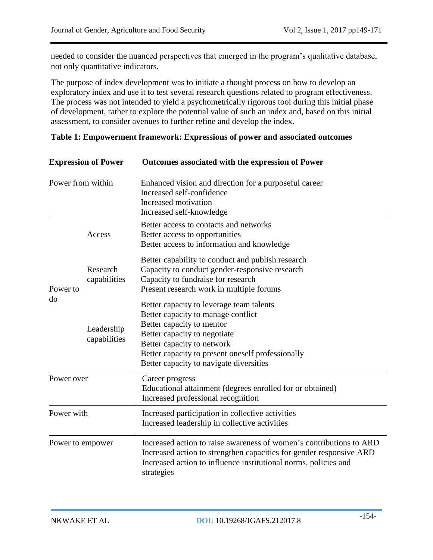needed to consider the nuanced perspectives that emerged in the program's qualitative database, not only quantitative indicators.

The purpose of index development was to initiate a thought process on how to develop an exploratory index and use it to test several research questions related to program effectiveness. The process was not intended to yield a psychometrically rigorous tool during this initial phase of development, rather to explore the potential value of such an index and, based on this initial assessment, to consider avenues to further refine and develop the index.

| <b>Expression of Power</b><br>Power from within |                            | Outcomes associated with the expression of Power                                                                                                                                                                                                                          |
|-------------------------------------------------|----------------------------|---------------------------------------------------------------------------------------------------------------------------------------------------------------------------------------------------------------------------------------------------------------------------|
|                                                 |                            | Enhanced vision and direction for a purposeful career<br>Increased self-confidence<br>Increased motivation<br>Increased self-knowledge                                                                                                                                    |
|                                                 | Access                     | Better access to contacts and networks<br>Better access to opportunities<br>Better access to information and knowledge                                                                                                                                                    |
| Power to<br>do                                  | Research<br>capabilities   | Better capability to conduct and publish research<br>Capacity to conduct gender-responsive research<br>Capacity to fundraise for research<br>Present research work in multiple forums                                                                                     |
|                                                 | Leadership<br>capabilities | Better capacity to leverage team talents<br>Better capacity to manage conflict<br>Better capacity to mentor<br>Better capacity to negotiate<br>Better capacity to network<br>Better capacity to present oneself professionally<br>Better capacity to navigate diversities |
| Power over                                      |                            | Career progress<br>Educational attainment (degrees enrolled for or obtained)<br>Increased professional recognition                                                                                                                                                        |
| Power with                                      |                            | Increased participation in collective activities<br>Increased leadership in collective activities                                                                                                                                                                         |
| Power to empower                                |                            | Increased action to raise awareness of women's contributions to ARD<br>Increased action to strengthen capacities for gender responsive ARD                                                                                                                                |

### **Table 1: Empowerment framework: Expressions of power and associated outcomes**

strategies

Increased action to influence institutional norms, policies and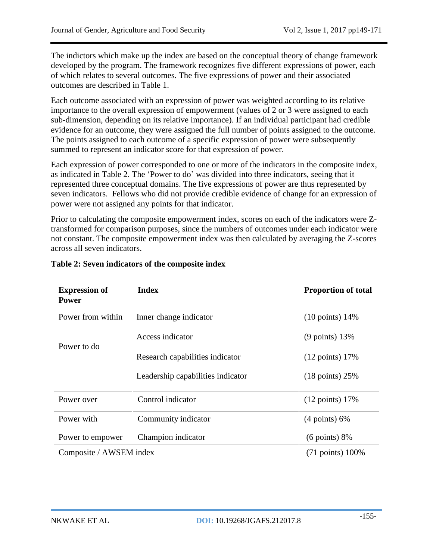The indictors which make up the index are based on the conceptual theory of change framework developed by the program. The framework recognizes five different expressions of power, each of which relates to several outcomes. The five expressions of power and their associated outcomes are described in Table 1.

Each outcome associated with an expression of power was weighted according to its relative importance to the overall expression of empowerment (values of 2 or 3 were assigned to each sub-dimension, depending on its relative importance). If an individual participant had credible evidence for an outcome, they were assigned the full number of points assigned to the outcome. The points assigned to each outcome of a specific expression of power were subsequently summed to represent an indicator score for that expression of power.

Each expression of power corresponded to one or more of the indicators in the composite index, as indicated in Table 2. The 'Power to do' was divided into three indicators, seeing that it represented three conceptual domains. The five expressions of power are thus represented by seven indicators. Fellows who did not provide credible evidence of change for an expression of power were not assigned any points for that indicator.

Prior to calculating the composite empowerment index, scores on each of the indicators were Ztransformed for comparison purposes, since the numbers of outcomes under each indicator were not constant. The composite empowerment index was then calculated by averaging the Z-scores across all seven indicators.

| <b>Expression of</b><br><b>Power</b> | <b>Index</b>                      | <b>Proportion of total</b>  |
|--------------------------------------|-----------------------------------|-----------------------------|
| Power from within                    | Inner change indicator            | $(10 \text{ points})$ 14%   |
| Power to do                          | Access indicator                  | $(9 \text{ points}) 13\%$   |
|                                      | Research capabilities indicator   | $(12 \text{ points})$ 17%   |
|                                      | Leadership capabilities indicator | $(18 \text{ points}) 25\%$  |
| Power over                           | Control indicator                 | $(12 \text{ points}) 17\%$  |
| Power with                           | Community indicator               | $(4 \text{ points}) 6\%$    |
| Power to empower                     | Champion indicator                | $(6 \text{ points}) 8\%$    |
| Composite / AWSEM index              |                                   | $(71 \text{ points}) 100\%$ |

### **Table 2: Seven indicators of the composite index**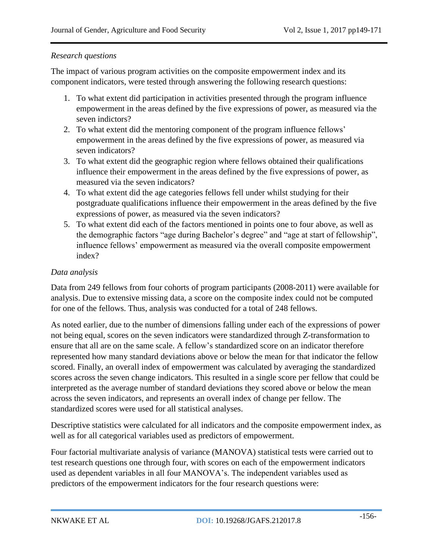### *Research questions*

The impact of various program activities on the composite empowerment index and its component indicators, were tested through answering the following research questions:

- 1. To what extent did participation in activities presented through the program influence empowerment in the areas defined by the five expressions of power, as measured via the seven indictors?
- 2. To what extent did the mentoring component of the program influence fellows' empowerment in the areas defined by the five expressions of power, as measured via seven indicators?
- 3. To what extent did the geographic region where fellows obtained their qualifications influence their empowerment in the areas defined by the five expressions of power, as measured via the seven indicators?
- 4. To what extent did the age categories fellows fell under whilst studying for their postgraduate qualifications influence their empowerment in the areas defined by the five expressions of power, as measured via the seven indicators?
- 5. To what extent did each of the factors mentioned in points one to four above, as well as the demographic factors "age during Bachelor's degree" and "age at start of fellowship", influence fellows' empowerment as measured via the overall composite empowerment index?

### *Data analysis*

Data from 249 fellows from four cohorts of program participants (2008-2011) were available for analysis. Due to extensive missing data, a score on the composite index could not be computed for one of the fellows. Thus, analysis was conducted for a total of 248 fellows.

As noted earlier, due to the number of dimensions falling under each of the expressions of power not being equal, scores on the seven indicators were standardized through Z-transformation to ensure that all are on the same scale. A fellow's standardized score on an indicator therefore represented how many standard deviations above or below the mean for that indicator the fellow scored. Finally, an overall index of empowerment was calculated by averaging the standardized scores across the seven change indicators. This resulted in a single score per fellow that could be interpreted as the average number of standard deviations they scored above or below the mean across the seven indicators, and represents an overall index of change per fellow. The standardized scores were used for all statistical analyses.

Descriptive statistics were calculated for all indicators and the composite empowerment index, as well as for all categorical variables used as predictors of empowerment.

Four factorial multivariate analysis of variance (MANOVA) statistical tests were carried out to test research questions one through four, with scores on each of the empowerment indicators used as dependent variables in all four MANOVA's. The independent variables used as predictors of the empowerment indicators for the four research questions were: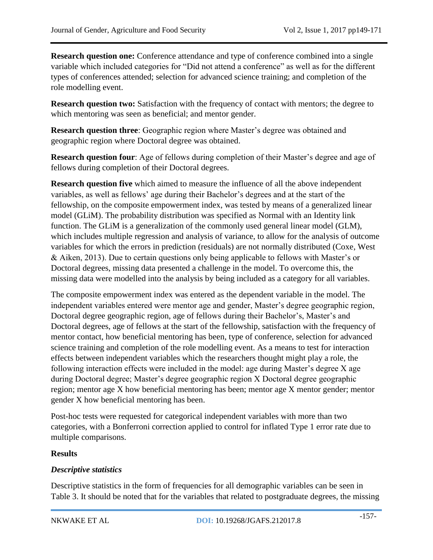**Research question one:** Conference attendance and type of conference combined into a single variable which included categories for "Did not attend a conference" as well as for the different types of conferences attended; selection for advanced science training; and completion of the role modelling event.

**Research question two:** Satisfaction with the frequency of contact with mentors; the degree to which mentoring was seen as beneficial; and mentor gender.

**Research question three**: Geographic region where Master's degree was obtained and geographic region where Doctoral degree was obtained.

**Research question four**: Age of fellows during completion of their Master's degree and age of fellows during completion of their Doctoral degrees.

**Research question five** which aimed to measure the influence of all the above independent variables, as well as fellows' age during their Bachelor's degrees and at the start of the fellowship, on the composite empowerment index, was tested by means of a generalized linear model (GLiM). The probability distribution was specified as Normal with an Identity link function. The GLiM is a generalization of the commonly used general linear model (GLM), which includes multiple regression and analysis of variance, to allow for the analysis of outcome variables for which the errors in prediction (residuals) are not normally distributed (Coxe, West & Aiken, 2013). Due to certain questions only being applicable to fellows with Master's or Doctoral degrees, missing data presented a challenge in the model. To overcome this, the missing data were modelled into the analysis by being included as a category for all variables.

The composite empowerment index was entered as the dependent variable in the model. The independent variables entered were mentor age and gender, Master's degree geographic region, Doctoral degree geographic region, age of fellows during their Bachelor's, Master's and Doctoral degrees, age of fellows at the start of the fellowship, satisfaction with the frequency of mentor contact, how beneficial mentoring has been, type of conference, selection for advanced science training and completion of the role modelling event. As a means to test for interaction effects between independent variables which the researchers thought might play a role, the following interaction effects were included in the model: age during Master's degree X age during Doctoral degree; Master's degree geographic region X Doctoral degree geographic region; mentor age X how beneficial mentoring has been; mentor age X mentor gender; mentor gender X how beneficial mentoring has been.

Post-hoc tests were requested for categorical independent variables with more than two categories, with a Bonferroni correction applied to control for inflated Type 1 error rate due to multiple comparisons.

### **Results**

### *Descriptive statistics*

Descriptive statistics in the form of frequencies for all demographic variables can be seen in Table 3. It should be noted that for the variables that related to postgraduate degrees, the missing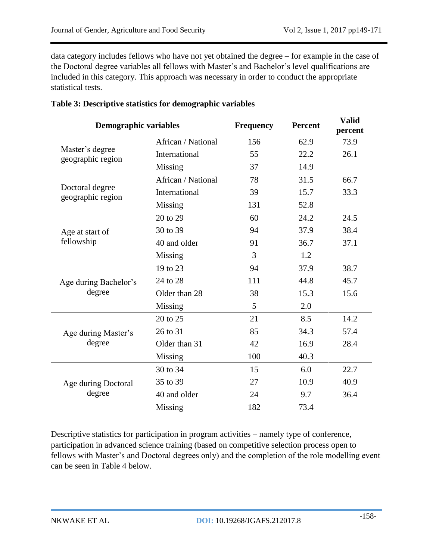data category includes fellows who have not yet obtained the degree – for example in the case of the Doctoral degree variables all fellows with Master's and Bachelor's level qualifications are included in this category. This approach was necessary in order to conduct the appropriate statistical tests.

| <b>Demographic variables</b>         |                    | Frequency | <b>Percent</b> | <b>Valid</b><br>percent |
|--------------------------------------|--------------------|-----------|----------------|-------------------------|
|                                      | African / National | 156       | 62.9           | 73.9                    |
| Master's degree<br>geographic region | International      | 55        | 22.2           | 26.1                    |
|                                      | Missing            | 37        | 14.9           |                         |
|                                      | African / National | 78        | 31.5           | 66.7                    |
| Doctoral degree<br>geographic region | International      | 39        | 15.7           | 33.3                    |
|                                      | Missing            | 131       | 52.8           |                         |
|                                      | 20 to 29           | 60        | 24.2           | 24.5                    |
| Age at start of                      | 30 to 39           | 94        | 37.9           | 38.4                    |
| fellowship                           | 40 and older       | 91        | 36.7           | 37.1                    |
|                                      | Missing            | 3         | 1.2            |                         |
|                                      | 19 to 23           | 94        | 37.9           | 38.7                    |
| Age during Bachelor's                | 24 to 28           | 111       | 44.8           | 45.7                    |
| degree                               | Older than 28      | 38        | 15.3           | 15.6                    |
|                                      | Missing            | 5         | 2.0            |                         |
|                                      | 20 to 25           | 21        | 8.5            | 14.2                    |
| Age during Master's                  | 26 to 31           | 85        | 34.3           | 57.4                    |
| degree                               | Older than 31      | 42        | 16.9           | 28.4                    |
|                                      | Missing            | 100       | 40.3           |                         |
|                                      | 30 to 34           | 15        | 6.0            | 22.7                    |
| Age during Doctoral                  | 35 to 39           | 27        | 10.9           | 40.9                    |
| degree                               | 40 and older       | 24        | 9.7            | 36.4                    |
|                                      | Missing            | 182       | 73.4           |                         |

#### **Table 3: Descriptive statistics for demographic variables**

Descriptive statistics for participation in program activities – namely type of conference, participation in advanced science training (based on competitive selection process open to fellows with Master's and Doctoral degrees only) and the completion of the role modelling event can be seen in Table 4 below.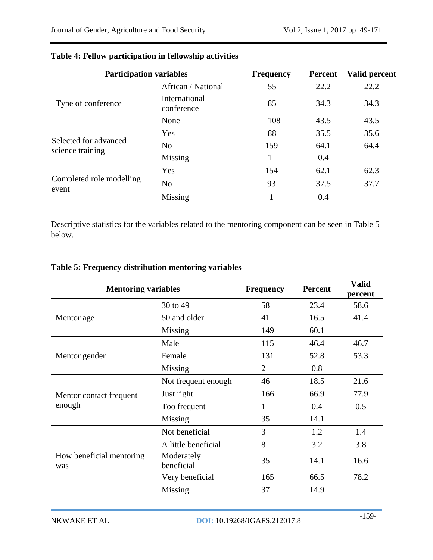| <b>Participation variables</b>            |                             | <b>Frequency</b> | <b>Percent</b> | Valid percent |
|-------------------------------------------|-----------------------------|------------------|----------------|---------------|
|                                           | African / National          | 55               | 22.2           | 22.2          |
| Type of conference                        | International<br>conference | 85               | 34.3           | 34.3          |
|                                           | None                        | 108              | 43.5           | 43.5          |
|                                           | Yes                         | 88               | 35.5           | 35.6          |
| Selected for advanced<br>science training | N <sub>o</sub>              | 159              | 64.1           | 64.4          |
|                                           | Missing                     |                  | 0.4            |               |
|                                           | Yes                         | 154              | 62.1           | 62.3          |
| Completed role modelling<br>event         | N <sub>o</sub>              | 93               | 37.5           | 37.7          |
|                                           | Missing                     | 1                | 0.4            |               |

# **Table 4: Fellow participation in fellowship activities**

Descriptive statistics for the variables related to the mentoring component can be seen in Table 5 below.

## **Table 5: Frequency distribution mentoring variables**

| <b>Mentoring variables</b>      |                          | <b>Frequency</b> | <b>Percent</b> | <b>Valid</b><br>percent |
|---------------------------------|--------------------------|------------------|----------------|-------------------------|
|                                 | 30 to 49                 | 58               | 23.4           | 58.6                    |
| Mentor age                      | 50 and older             | 41               | 16.5           | 41.4                    |
|                                 | Missing                  | 149              | 60.1           |                         |
|                                 | Male                     | 115              | 46.4           | 46.7                    |
| Mentor gender                   | Female                   | 131              | 52.8           | 53.3                    |
|                                 | Missing                  | $\overline{2}$   | 0.8            |                         |
|                                 | Not frequent enough      | 46               | 18.5           | 21.6                    |
| Mentor contact frequent         | Just right               | 166              | 66.9           | 77.9                    |
| enough                          | Too frequent             | 1                | 0.4            | 0.5                     |
|                                 | Missing                  | 35               | 14.1           |                         |
|                                 | Not beneficial           | 3                | 1.2            | 1.4                     |
|                                 | A little beneficial      | 8                | 3.2            | 3.8                     |
| How beneficial mentoring<br>was | Moderately<br>beneficial | 35               | 14.1           | 16.6                    |
|                                 | Very beneficial          | 165              | 66.5           | 78.2                    |
|                                 | Missing                  | 37               | 14.9           |                         |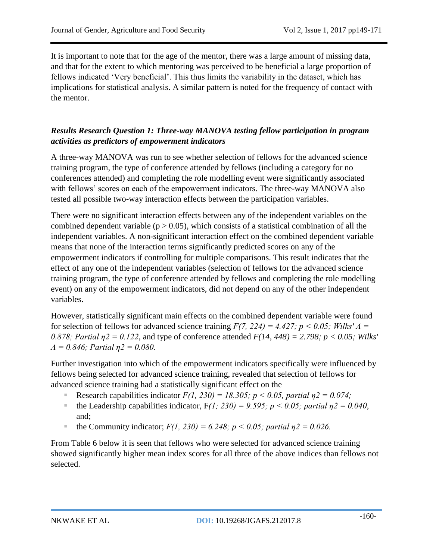It is important to note that for the age of the mentor, there was a large amount of missing data, and that for the extent to which mentoring was perceived to be beneficial a large proportion of fellows indicated 'Very beneficial'. This thus limits the variability in the dataset, which has implications for statistical analysis. A similar pattern is noted for the frequency of contact with the mentor.

# *Results Research Question 1: Three-way MANOVA testing fellow participation in program activities as predictors of empowerment indicators*

A three-way MANOVA was run to see whether selection of fellows for the advanced science training program, the type of conference attended by fellows (including a category for no conferences attended) and completing the role modelling event were significantly associated with fellows' scores on each of the empowerment indicators. The three-way MANOVA also tested all possible two-way interaction effects between the participation variables.

There were no significant interaction effects between any of the independent variables on the combined dependent variable ( $p > 0.05$ ), which consists of a statistical combination of all the independent variables. A non-significant interaction effect on the combined dependent variable means that none of the interaction terms significantly predicted scores on any of the empowerment indicators if controlling for multiple comparisons. This result indicates that the effect of any one of the independent variables (selection of fellows for the advanced science training program, the type of conference attended by fellows and completing the role modelling event) on any of the empowerment indicators, did not depend on any of the other independent variables.

However, statistically significant main effects on the combined dependent variable were found for selection of fellows for advanced science training  $F(7, 224) = 4.427$ ;  $p < 0.05$ ; Wilks'  $\Lambda$  = *0.878; Partial η2 = 0.122*, and type of conference attended *F(14, 448) = 2.798; p < 0.05; Wilks' Λ = 0.846; Partial η2 = 0.080.*

Further investigation into which of the empowerment indicators specifically were influenced by fellows being selected for advanced science training, revealed that selection of fellows for advanced science training had a statistically significant effect on the

- Research capabilities indicator  $F(1, 230) = 18.305$ ;  $p < 0.05$ , partial  $p2 = 0.074$ ;
- the Leadership capabilities indicator,  $F(1; 230) = 9.595$ ;  $p < 0.05$ ; partial  $n^2 = 0.040$ , and;
- the Community indicator;  $F(1, 230) = 6.248$ ;  $p < 0.05$ ; partial  $p_1 = 0.026$ .

From Table 6 below it is seen that fellows who were selected for advanced science training showed significantly higher mean index scores for all three of the above indices than fellows not selected.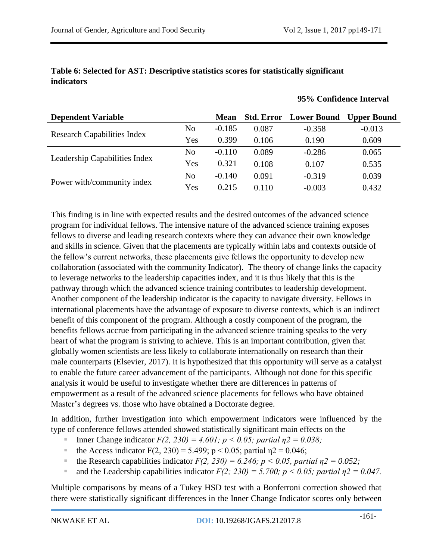#### **Table 6: Selected for AST: Descriptive statistics scores for statistically significant indicators**

#### **95% Confidence Interval**

| <b>Dependent Variable</b>          |                | <b>Mean</b> |       | <b>Std. Error</b> Lower Bound | <b>Upper Bound</b> |
|------------------------------------|----------------|-------------|-------|-------------------------------|--------------------|
|                                    | N <sub>0</sub> | $-0.185$    | 0.087 | $-0.358$                      | $-0.013$           |
| <b>Research Capabilities Index</b> | Yes            | 0.399       | 0.106 | 0.190                         | 0.609              |
|                                    | N <sub>0</sub> | $-0.110$    | 0.089 | $-0.286$                      | 0.065              |
| Leadership Capabilities Index      | Yes            | 0.321       | 0.108 | 0.107                         | 0.535              |
|                                    | N <sub>0</sub> | $-0.140$    | 0.091 | $-0.319$                      | 0.039              |
| Power with/community index         | Yes            | 0.215       | 0.110 | $-0.003$                      | 0.432              |

This finding is in line with expected results and the desired outcomes of the advanced science program for individual fellows. The intensive nature of the advanced science training exposes fellows to diverse and leading research contexts where they can advance their own knowledge and skills in science. Given that the placements are typically within labs and contexts outside of the fellow's current networks, these placements give fellows the opportunity to develop new collaboration (associated with the community Indicator). The theory of change links the capacity to leverage networks to the leadership capacities index, and it is thus likely that this is the pathway through which the advanced science training contributes to leadership development. Another component of the leadership indicator is the capacity to navigate diversity. Fellows in international placements have the advantage of exposure to diverse contexts, which is an indirect benefit of this component of the program. Although a costly component of the program, the benefits fellows accrue from participating in the advanced science training speaks to the very heart of what the program is striving to achieve. This is an important contribution, given that globally women scientists are less likely to collaborate internationally on research than their male counterparts (Elsevier, 2017). It is hypothesized that this opportunity will serve as a catalyst to enable the future career advancement of the participants. Although not done for this specific analysis it would be useful to investigate whether there are differences in patterns of empowerment as a result of the advanced science placements for fellows who have obtained Master's degrees vs. those who have obtained a Doctorate degree.

In addition, further investigation into which empowerment indicators were influenced by the type of conference fellows attended showed statistically significant main effects on the

- **Inner Change indicator**  $F(2, 230) = 4.601$ ;  $p < 0.05$ ; partial  $p = 0.038$ ;
- the Access indicator F(2, 230) = 5.499;  $p < 0.05$ ; partial  $p2 = 0.046$ ;
- the Research capabilities indicator  $F(2, 230) = 6.246$ ;  $p < 0.05$ , partial  $p2 = 0.052$ ;
- and the Leadership capabilities indicator  $F(2; 230) = 5.700$ ;  $p < 0.05$ ; partial  $p = 0.047$ .

Multiple comparisons by means of a Tukey HSD test with a Bonferroni correction showed that there were statistically significant differences in the Inner Change Indicator scores only between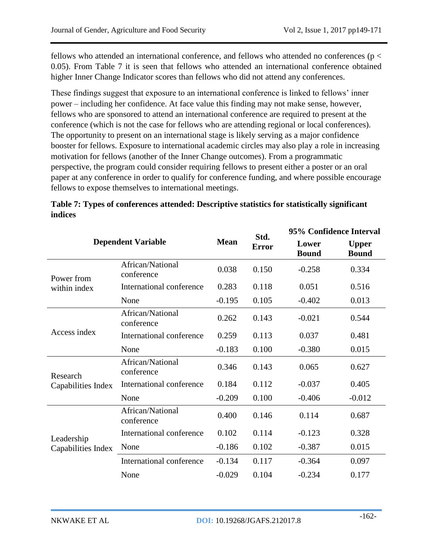fellows who attended an international conference, and fellows who attended no conferences (p < 0.05). From Table 7 it is seen that fellows who attended an international conference obtained higher Inner Change Indicator scores than fellows who did not attend any conferences.

These findings suggest that exposure to an international conference is linked to fellows' inner power – including her confidence. At face value this finding may not make sense, however, fellows who are sponsored to attend an international conference are required to present at the conference (which is not the case for fellows who are attending regional or local conferences). The opportunity to present on an international stage is likely serving as a major confidence booster for fellows. Exposure to international academic circles may also play a role in increasing motivation for fellows (another of the Inner Change outcomes). From a programmatic perspective, the program could consider requiring fellows to present either a poster or an oral paper at any conference in order to qualify for conference funding, and where possible encourage fellows to expose themselves to international meetings.

| <b>Dependent Variable</b> |                                |             | Std.         | 95% Confidence Interval |                              |
|---------------------------|--------------------------------|-------------|--------------|-------------------------|------------------------------|
|                           |                                | <b>Mean</b> | <b>Error</b> | Lower<br><b>Bound</b>   | <b>Upper</b><br><b>Bound</b> |
| Power from                | African/National<br>conference | 0.038       | 0.150        | $-0.258$                | 0.334                        |
| within index              | International conference       | 0.283       | 0.118        | 0.051                   | 0.516                        |
|                           | None                           | $-0.195$    | 0.105        | $-0.402$                | 0.013                        |
|                           | African/National<br>conference | 0.262       | 0.143        | $-0.021$                | 0.544                        |
| Access index              | International conference       | 0.259       | 0.113        | 0.037                   | 0.481                        |
|                           | None                           | $-0.183$    | 0.100        | $-0.380$                | 0.015                        |
| Research                  | African/National<br>conference | 0.346       | 0.143        | 0.065                   | 0.627                        |
| Capabilities Index        | International conference       | 0.184       | 0.112        | $-0.037$                | 0.405                        |
|                           | None                           | $-0.209$    | 0.100        | $-0.406$                | $-0.012$                     |
|                           | African/National<br>conference | 0.400       | 0.146        | 0.114                   | 0.687                        |
| Leadership                | International conference       | 0.102       | 0.114        | $-0.123$                | 0.328                        |
| Capabilities Index        | None                           | $-0.186$    | 0.102        | $-0.387$                | 0.015                        |
|                           | International conference       | $-0.134$    | 0.117        | $-0.364$                | 0.097                        |
|                           | None                           | $-0.029$    | 0.104        | $-0.234$                | 0.177                        |

| Table 7: Types of conferences attended: Descriptive statistics for statistically significant |  |
|----------------------------------------------------------------------------------------------|--|
| indices                                                                                      |  |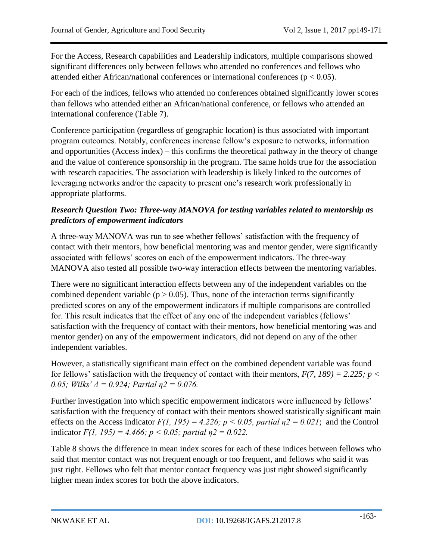For the Access, Research capabilities and Leadership indicators, multiple comparisons showed significant differences only between fellows who attended no conferences and fellows who attended either African/national conferences or international conferences ( $p < 0.05$ ).

For each of the indices, fellows who attended no conferences obtained significantly lower scores than fellows who attended either an African/national conference, or fellows who attended an international conference (Table 7).

Conference participation (regardless of geographic location) is thus associated with important program outcomes. Notably, conferences increase fellow's exposure to networks, information and opportunities (Access index) – this confirms the theoretical pathway in the theory of change and the value of conference sponsorship in the program. The same holds true for the association with research capacities. The association with leadership is likely linked to the outcomes of leveraging networks and/or the capacity to present one's research work professionally in appropriate platforms.

# *Research Question Two: Three-way MANOVA for testing variables related to mentorship as predictors of empowerment indicators*

A three-way MANOVA was run to see whether fellows' satisfaction with the frequency of contact with their mentors, how beneficial mentoring was and mentor gender, were significantly associated with fellows' scores on each of the empowerment indicators. The three-way MANOVA also tested all possible two-way interaction effects between the mentoring variables.

There were no significant interaction effects between any of the independent variables on the combined dependent variable ( $p > 0.05$ ). Thus, none of the interaction terms significantly predicted scores on any of the empowerment indicators if multiple comparisons are controlled for. This result indicates that the effect of any one of the independent variables (fellows' satisfaction with the frequency of contact with their mentors, how beneficial mentoring was and mentor gender) on any of the empowerment indicators, did not depend on any of the other independent variables.

However, a statistically significant main effect on the combined dependent variable was found for fellows' satisfaction with the frequency of contact with their mentors,  $F(7, 189) = 2.225$ ;  $p <$ *0.05; Wilks' Λ = 0.924; Partial η2 = 0.076.* 

Further investigation into which specific empowerment indicators were influenced by fellows' satisfaction with the frequency of contact with their mentors showed statistically significant main effects on the Access indicator  $F(1, 195) = 4.226$ ;  $p < 0.05$ , partial  $p2 = 0.021$ ; and the Control indicator  $F(1, 195) = 4.466$ ;  $p < 0.05$ ; partial  $p_1^2 = 0.022$ .

Table 8 shows the difference in mean index scores for each of these indices between fellows who said that mentor contact was not frequent enough or too frequent, and fellows who said it was just right. Fellows who felt that mentor contact frequency was just right showed significantly higher mean index scores for both the above indicators.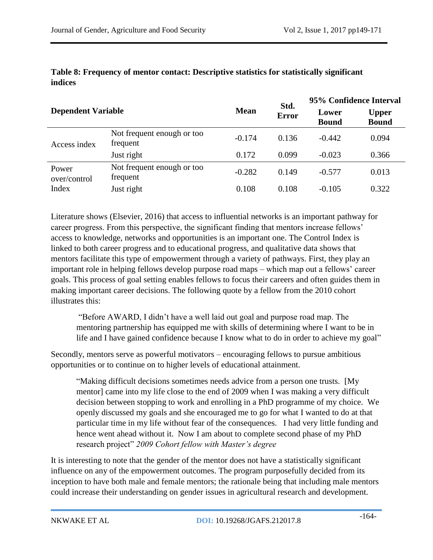| <b>Dependent Variable</b> |                                        |             | Std.<br><b>Error</b> | 95% Confidence Interval |                              |
|---------------------------|----------------------------------------|-------------|----------------------|-------------------------|------------------------------|
|                           |                                        | <b>Mean</b> |                      | Lower<br><b>Bound</b>   | <b>Upper</b><br><b>Bound</b> |
| Access index              | Not frequent enough or too<br>frequent | $-0.174$    | 0.136                | $-0.442$                | 0.094                        |
|                           | Just right                             | 0.172       | 0.099                | $-0.023$                | 0.366                        |
| Power<br>over/control     | Not frequent enough or too<br>frequent | $-0.282$    | 0.149                | $-0.577$                | 0.013                        |
| Index                     | Just right                             | 0.108       | 0.108                | $-0.105$                | 0.322                        |

### **Table 8: Frequency of mentor contact: Descriptive statistics for statistically significant indices**

Literature shows (Elsevier, 2016) that access to influential networks is an important pathway for career progress. From this perspective, the significant finding that mentors increase fellows' access to knowledge, networks and opportunities is an important one. The Control Index is linked to both career progress and to educational progress, and qualitative data shows that mentors facilitate this type of empowerment through a variety of pathways. First, they play an important role in helping fellows develop purpose road maps – which map out a fellows' career goals. This process of goal setting enables fellows to focus their careers and often guides them in making important career decisions. The following quote by a fellow from the 2010 cohort illustrates this:

"Before AWARD, I didn't have a well laid out goal and purpose road map. The mentoring partnership has equipped me with skills of determining where I want to be in life and I have gained confidence because I know what to do in order to achieve my goal"

Secondly, mentors serve as powerful motivators – encouraging fellows to pursue ambitious opportunities or to continue on to higher levels of educational attainment.

"Making difficult decisions sometimes needs advice from a person one trusts. [My mentor] came into my life close to the end of 2009 when I was making a very difficult decision between stopping to work and enrolling in a PhD programme of my choice. We openly discussed my goals and she encouraged me to go for what I wanted to do at that particular time in my life without fear of the consequences. I had very little funding and hence went ahead without it. Now I am about to complete second phase of my PhD research project" *2009 Cohort fellow with Master's degree*

It is interesting to note that the gender of the mentor does not have a statistically significant influence on any of the empowerment outcomes. The program purposefully decided from its inception to have both male and female mentors; the rationale being that including male mentors could increase their understanding on gender issues in agricultural research and development.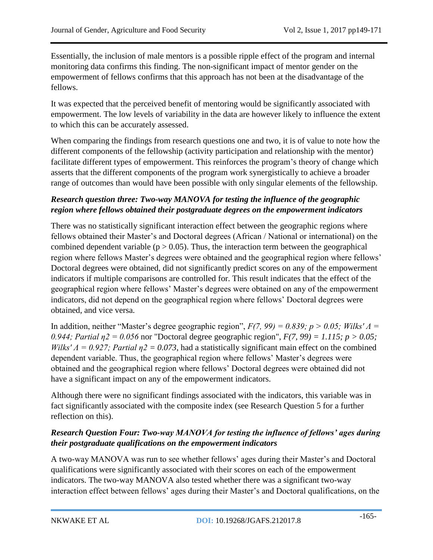Essentially, the inclusion of male mentors is a possible ripple effect of the program and internal monitoring data confirms this finding. The non-significant impact of mentor gender on the empowerment of fellows confirms that this approach has not been at the disadvantage of the fellows.

It was expected that the perceived benefit of mentoring would be significantly associated with empowerment. The low levels of variability in the data are however likely to influence the extent to which this can be accurately assessed.

When comparing the findings from research questions one and two, it is of value to note how the different components of the fellowship (activity participation and relationship with the mentor) facilitate different types of empowerment. This reinforces the program's theory of change which asserts that the different components of the program work synergistically to achieve a broader range of outcomes than would have been possible with only singular elements of the fellowship.

# *Research question three: Two-way MANOVA for testing the influence of the geographic region where fellows obtained their postgraduate degrees on the empowerment indicators*

There was no statistically significant interaction effect between the geographic regions where fellows obtained their Master's and Doctoral degrees (African / National or international) on the combined dependent variable ( $p > 0.05$ ). Thus, the interaction term between the geographical region where fellows Master's degrees were obtained and the geographical region where fellows' Doctoral degrees were obtained, did not significantly predict scores on any of the empowerment indicators if multiple comparisons are controlled for. This result indicates that the effect of the geographical region where fellows' Master's degrees were obtained on any of the empowerment indicators, did not depend on the geographical region where fellows' Doctoral degrees were obtained, and vice versa.

In addition, neither "Master's degree geographic region", *F(7, 99) = 0.839; p > 0.05; Wilks' Λ = 0.944; Partial η2 = 0.056* nor "Doctoral degree geographic region", *F(7, 99) = 1.115; p > 0.05; Wilks'*  $\Lambda$  *= 0.927; Partial*  $\eta$ *2 = 0.073*, had a statistically significant main effect on the combined dependent variable. Thus, the geographical region where fellows' Master's degrees were obtained and the geographical region where fellows' Doctoral degrees were obtained did not have a significant impact on any of the empowerment indicators.

Although there were no significant findings associated with the indicators, this variable was in fact significantly associated with the composite index (see Research Question 5 for a further reflection on this).

# *Research Question Four: Two-way MANOVA for testing the influence of fellows' ages during their postgraduate qualifications on the empowerment indicators*

A two-way MANOVA was run to see whether fellows' ages during their Master's and Doctoral qualifications were significantly associated with their scores on each of the empowerment indicators. The two-way MANOVA also tested whether there was a significant two-way interaction effect between fellows' ages during their Master's and Doctoral qualifications, on the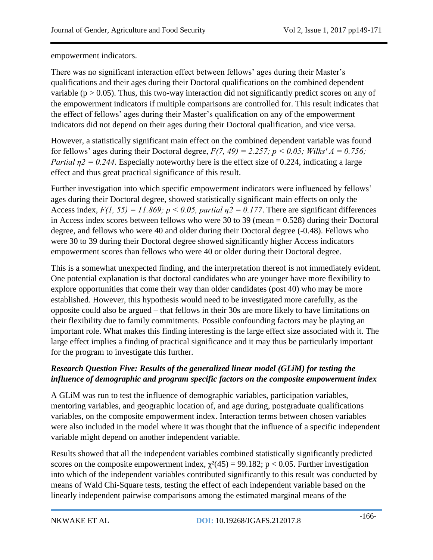empowerment indicators.

There was no significant interaction effect between fellows' ages during their Master's qualifications and their ages during their Doctoral qualifications on the combined dependent variable ( $p > 0.05$ ). Thus, this two-way interaction did not significantly predict scores on any of the empowerment indicators if multiple comparisons are controlled for. This result indicates that the effect of fellows' ages during their Master's qualification on any of the empowerment indicators did not depend on their ages during their Doctoral qualification, and vice versa.

However, a statistically significant main effect on the combined dependent variable was found for fellows' ages during their Doctoral degree, *F(7, 49) = 2.257; p < 0.05; Wilks' Λ = 0.756; Partial*  $n^2 = 0.244$ *.* Especially noteworthy here is the effect size of 0.224, indicating a large effect and thus great practical significance of this result.

Further investigation into which specific empowerment indicators were influenced by fellows' ages during their Doctoral degree, showed statistically significant main effects on only the Access index,  $F(1, 55) = 11.869$ ;  $p < 0.05$ , partial  $p = 0.177$ . There are significant differences in Access index scores between fellows who were 30 to 39 (mean = 0.528) during their Doctoral degree, and fellows who were 40 and older during their Doctoral degree (-0.48). Fellows who were 30 to 39 during their Doctoral degree showed significantly higher Access indicators empowerment scores than fellows who were 40 or older during their Doctoral degree.

This is a somewhat unexpected finding, and the interpretation thereof is not immediately evident. One potential explanation is that doctoral candidates who are younger have more flexibility to explore opportunities that come their way than older candidates (post 40) who may be more established. However, this hypothesis would need to be investigated more carefully, as the opposite could also be argued – that fellows in their 30s are more likely to have limitations on their flexibility due to family commitments. Possible confounding factors may be playing an important role. What makes this finding interesting is the large effect size associated with it. The large effect implies a finding of practical significance and it may thus be particularly important for the program to investigate this further.

# *Research Question Five: Results of the generalized linear model (GLiM) for testing the influence of demographic and program specific factors on the composite empowerment index*

A GLiM was run to test the influence of demographic variables, participation variables, mentoring variables, and geographic location of, and age during, postgraduate qualifications variables, on the composite empowerment index. Interaction terms between chosen variables were also included in the model where it was thought that the influence of a specific independent variable might depend on another independent variable.

Results showed that all the independent variables combined statistically significantly predicted scores on the composite empowerment index,  $\gamma^2(45) = 99.182$ ; p < 0.05. Further investigation into which of the independent variables contributed significantly to this result was conducted by means of Wald Chi-Square tests, testing the effect of each independent variable based on the linearly independent pairwise comparisons among the estimated marginal means of the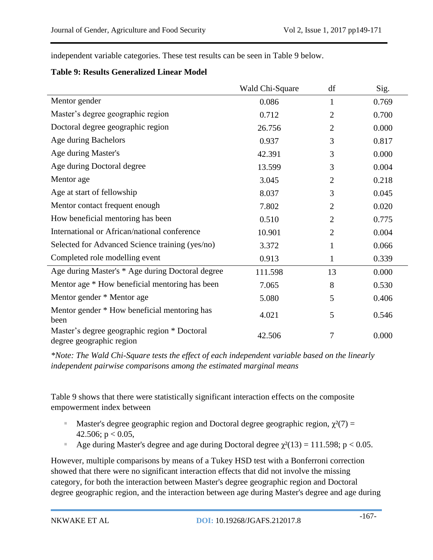independent variable categories. These test results can be seen in Table 9 below.

#### **Table 9: Results Generalized Linear Model**

|                                                                          | Wald Chi-Square | df             | Sig.  |
|--------------------------------------------------------------------------|-----------------|----------------|-------|
| Mentor gender                                                            | 0.086           | 1              | 0.769 |
| Master's degree geographic region                                        | 0.712           | $\overline{2}$ | 0.700 |
| Doctoral degree geographic region                                        | 26.756          | $\overline{2}$ | 0.000 |
| Age during Bachelors                                                     | 0.937           | 3              | 0.817 |
| Age during Master's                                                      | 42.391          | 3              | 0.000 |
| Age during Doctoral degree                                               | 13.599          | 3              | 0.004 |
| Mentor age                                                               | 3.045           | $\overline{2}$ | 0.218 |
| Age at start of fellowship                                               | 8.037           | 3              | 0.045 |
| Mentor contact frequent enough                                           | 7.802           | $\overline{2}$ | 0.020 |
| How beneficial mentoring has been                                        | 0.510           | $\overline{2}$ | 0.775 |
| International or African/national conference                             | 10.901          | $\overline{2}$ | 0.004 |
| Selected for Advanced Science training (yes/no)                          | 3.372           | 1              | 0.066 |
| Completed role modelling event                                           | 0.913           | 1              | 0.339 |
| Age during Master's * Age during Doctoral degree                         | 111.598         | 13             | 0.000 |
| Mentor age * How beneficial mentoring has been                           | 7.065           | 8              | 0.530 |
| Mentor gender * Mentor age                                               | 5.080           | 5              | 0.406 |
| Mentor gender * How beneficial mentoring has<br>been                     | 4.021           | 5              | 0.546 |
| Master's degree geographic region * Doctoral<br>degree geographic region | 42.506          | 7              | 0.000 |

*\*Note: The Wald Chi-Square tests the effect of each independent variable based on the linearly independent pairwise comparisons among the estimated marginal means*

Table 9 shows that there were statistically significant interaction effects on the composite empowerment index between

- Master's degree geographic region and Doctoral degree geographic region,  $\chi^2(7)$  = 42.506;  $p < 0.05$ ,
- Age during Master's degree and age during Doctoral degree  $\chi^2(13) = 111.598$ ; p < 0.05.

However, multiple comparisons by means of a Tukey HSD test with a Bonferroni correction showed that there were no significant interaction effects that did not involve the missing category, for both the interaction between Master's degree geographic region and Doctoral degree geographic region, and the interaction between age during Master's degree and age during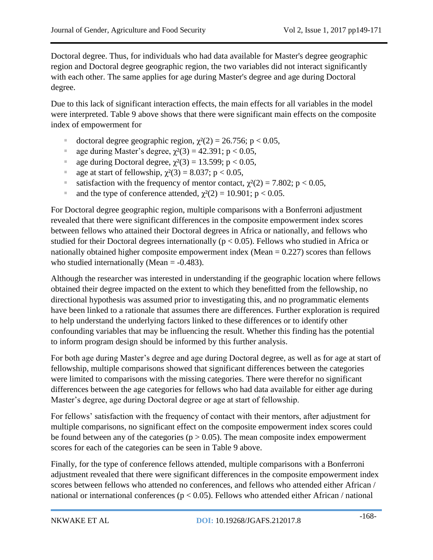Doctoral degree. Thus, for individuals who had data available for Master's degree geographic region and Doctoral degree geographic region, the two variables did not interact significantly with each other. The same applies for age during Master's degree and age during Doctoral degree.

Due to this lack of significant interaction effects, the main effects for all variables in the model were interpreted. Table 9 above shows that there were significant main effects on the composite index of empowerment for

- $\blacksquare$  doctoral degree geographic region,  $\chi^2(2) = 26.756$ ; p < 0.05,
- age during Master's degree,  $\chi^2(3) = 42.391$ ; p < 0.05,
- age during Doctoral degree,  $\chi^2(3) = 13.599$ ; p < 0.05,
- age at start of fellowship,  $\chi^2(3) = 8.037$ ; p < 0.05,
- satisfaction with the frequency of mentor contact,  $\chi^2(2) = 7.802$ ; p < 0.05,
- and the type of conference attended,  $\chi^2(2) = 10.901$ ; p < 0.05.

For Doctoral degree geographic region, multiple comparisons with a Bonferroni adjustment revealed that there were significant differences in the composite empowerment index scores between fellows who attained their Doctoral degrees in Africa or nationally, and fellows who studied for their Doctoral degrees internationally ( $p < 0.05$ ). Fellows who studied in Africa or nationally obtained higher composite empowerment index (Mean  $= 0.227$ ) scores than fellows who studied internationally (Mean  $= -0.483$ ).

Although the researcher was interested in understanding if the geographic location where fellows obtained their degree impacted on the extent to which they benefitted from the fellowship, no directional hypothesis was assumed prior to investigating this, and no programmatic elements have been linked to a rationale that assumes there are differences. Further exploration is required to help understand the underlying factors linked to these differences or to identify other confounding variables that may be influencing the result. Whether this finding has the potential to inform program design should be informed by this further analysis.

For both age during Master's degree and age during Doctoral degree, as well as for age at start of fellowship, multiple comparisons showed that significant differences between the categories were limited to comparisons with the missing categories. There were therefor no significant differences between the age categories for fellows who had data available for either age during Master's degree, age during Doctoral degree or age at start of fellowship.

For fellows' satisfaction with the frequency of contact with their mentors, after adjustment for multiple comparisons, no significant effect on the composite empowerment index scores could be found between any of the categories ( $p > 0.05$ ). The mean composite index empowerment scores for each of the categories can be seen in Table 9 above.

Finally, for the type of conference fellows attended, multiple comparisons with a Bonferroni adjustment revealed that there were significant differences in the composite empowerment index scores between fellows who attended no conferences, and fellows who attended either African / national or international conferences ( $p < 0.05$ ). Fellows who attended either African / national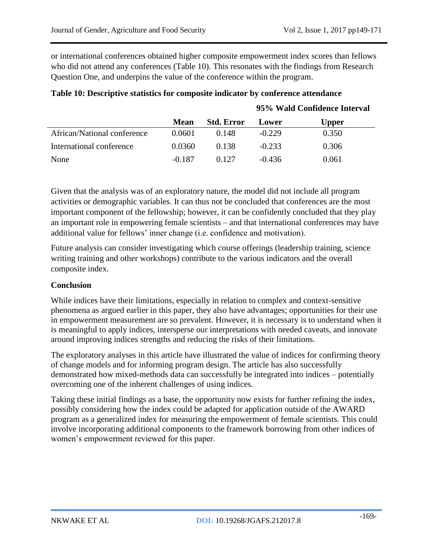**95% Wald Confidence Interval**

or international conferences obtained higher composite empowerment index scores than fellows who did not attend any conferences (Table 10). This resonates with the findings from Research Question One, and underpins the value of the conference within the program.

|                             | <b>Mean</b> | <b>Std. Error</b> | Lower    | Upper |
|-----------------------------|-------------|-------------------|----------|-------|
| African/National conference | 0.0601      | 0.148             | $-0.229$ | 0.350 |
| International conference    | 0.0360      | 0.138             | $-0.233$ | 0.306 |
| None                        | $-0.187$    | 0.127             | $-0.436$ | 0.061 |

## **Table 10: Descriptive statistics for composite indicator by conference attendance**

Given that the analysis was of an exploratory nature, the model did not include all program activities or demographic variables. It can thus not be concluded that conferences are the most important component of the fellowship; however, it can be confidently concluded that they play an important role in empowering female scientists – and that international conferences may have additional value for fellows' inner change (i.e. confidence and motivation).

Future analysis can consider investigating which course offerings (leadership training, science writing training and other workshops) contribute to the various indicators and the overall composite index.

### **Conclusion**

While indices have their limitations, especially in relation to complex and context-sensitive phenomena as argued earlier in this paper, they also have advantages; opportunities for their use in empowerment measurement are so prevalent. However, it is necessary is to understand when it is meaningful to apply indices, intersperse our interpretations with needed caveats, and innovate around improving indices strengths and reducing the risks of their limitations.

The exploratory analyses in this article have illustrated the value of indices for confirming theory of change models and for informing program design. The article has also successfully demonstrated how mixed-methods data can successfully be integrated into indices – potentially overcoming one of the inherent challenges of using indices.

Taking these initial findings as a base, the opportunity now exists for further refining the index, possibly considering how the index could be adapted for application outside of the AWARD program as a generalized index for measuring the empowerment of female scientists. This could involve incorporating additional components to the framework borrowing from other indices of women's empowerment reviewed for this paper.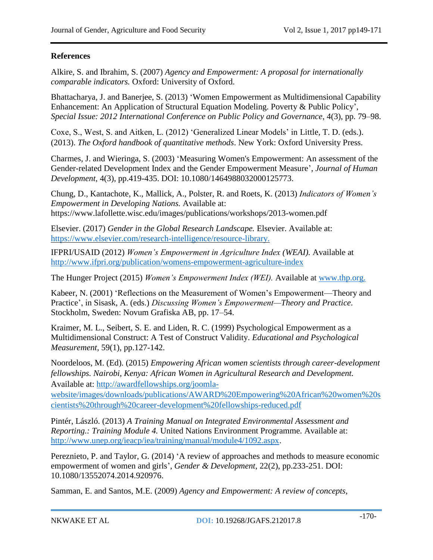### **References**

Alkire, S. and Ibrahim, S. (2007) *Agency and Empowerment: A proposal for internationally comparable indicators.* Oxford: University of Oxford.

Bhattacharya, J. and Banerjee, S. (2013) 'Women Empowerment as Multidimensional Capability Enhancement: An Application of Structural Equation Modeling. Poverty & Public Policy', *Special Issue: 2012 International Conference on Public Policy and Governance*, 4(3), pp. 79–98.

Coxe, S., West, S. and Aitken, L. (2012) 'Generalized Linear Models' in Little, T. D. (eds.). (2013). *The Oxford handbook of quantitative methods*. New York: Oxford University Press.

Charmes, J. and Wieringa, S. (2003) 'Measuring Women's Empowerment: An assessment of the Gender-related Development Index and the Gender Empowerment Measure', *Journal of Human Development*, 4(3), pp.419-435. DOI: 10.1080/1464988032000125773.

Chung, D., Kantachote, K., Mallick, A., Polster, R. and Roets, K. (2013) *Indicators of Women's Empowerment in Developing Nations.* Available at: https://www.lafollette.wisc.edu/images/publications/workshops/2013-women.pdf

Elsevier. (2017) *Gender in the Global Research Landscape.* Elsevier. Available at: [https://www.elsevier.com/research-intelligence/resource-library.](https://www.elsevier.com/research-intelligence/resource-library)

IFPRI/USAID (2012) *Women's Empowerment in Agriculture Index (WEAI).* Available at <http://www.ifpri.org/publication/womens-empowerment-agriculture-index>

The Hunger Project (2015) *Women's Empowerment Index (WEI).* Available at [www.thp.org.](http://www.thp.org/)

Kabeer, N. (2001) 'Reflections on the Measurement of Women's Empowerment—Theory and Practice', in Sisask, A. (eds.) *Discussing Women's Empowerment—Theory and Practice*. Stockholm, Sweden: Novum Grafiska AB, pp. 17–54.

Kraimer, M. L., Seibert, S. E. and Liden, R. C. (1999) Psychological Empowerment as a Multidimensional Construct: A Test of Construct Validity. *Educational and Psychological Measurement*, 59(1), pp.127-142.

Noordeloos, M. (Ed). (2015) *Empowering African women scientists through career-development fellowships. Nairobi, Kenya: African Women in Agricultural Research and Development.* Available at: [http://awardfellowships.org/joomla-](http://awardfellowships.org/joomla-website/images/downloads/publications/AWARD%20Empowering%20African%20women%20scientists%20through%20career-development%20fellowships-reduced.pdf)

[website/images/downloads/publications/AWARD%20Empowering%20African%20women%20s](http://awardfellowships.org/joomla-website/images/downloads/publications/AWARD%20Empowering%20African%20women%20scientists%20through%20career-development%20fellowships-reduced.pdf) [cientists%20through%20career-development%20fellowships-reduced.pdf](http://awardfellowships.org/joomla-website/images/downloads/publications/AWARD%20Empowering%20African%20women%20scientists%20through%20career-development%20fellowships-reduced.pdf)

Pintér, László. (2013) *A Training Manual on Integrated Environmental Assessment and Reporting.: Training Module 4.* United Nations Environment Programme. Available at: [http://www.unep.org/ieacp/iea/training/manual/module4/1092.aspx.](http://www.unep.org/ieacp/iea/training/manual/module4/1092.aspx)

Pereznieto, P. and Taylor, G. (2014) 'A review of approaches and methods to measure economic empowerment of women and girls', *Gender & Development*, 22(2), pp.233-251. DOI: 10.1080/13552074.2014.920976.

Samman, E. and Santos, M.E. (2009) *Agency and Empowerment: A review of concepts,*